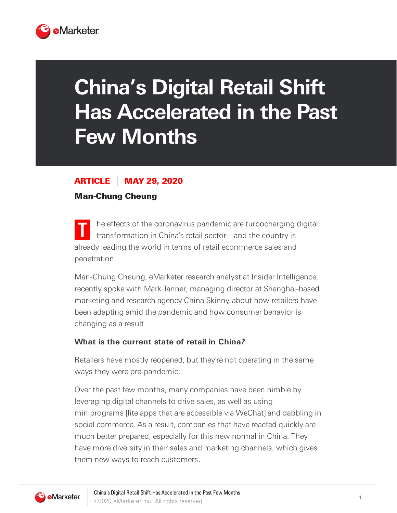

# **China's Digital Retail Shift Has Accelerated in the Past Few Months**

## ARTICLE MAY 29, 2020

#### Man-Chung Cheung

**T** he effects of the coronavirus pandemic are turbocharging digital transformation in China's retail sector—and the country is already leading the world in terms of retail ecommerce sales and penetration.

Man-Chung Cheung, eMarketer research analyst at Insider Intelligence, recently spoke with Mark Tanner, managing director at Shanghai-based marketing and research agency China Skinny, about how retailers have been adapting amid the pandemic and how consumer behavior is changing as a result.

#### **What is the current state of retail in China?**

Retailers have mostly reopened, but they're not operating in the same ways they were pre-pandemic.

Over the past few months, many companies have been nimble by leveraging digital channels to drive sales, as well as using miniprograms [lite apps that are accessible via WeChat] and dabbling in social commerce. As a result, companies that have reacted quickly are much better prepared, especially for this new normal in China. They have more diversity in their sales and marketing channels, which gives them new ways to reach customers.

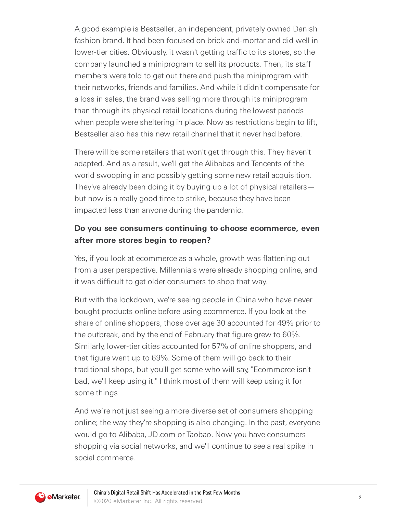A good example is Bestseller, an independent, privately owned Danish fashion brand. It had been focused on brick-and-mortar and did well in lower-tier cities. Obviously, it wasn't getting traffic to its stores, so the company launched a miniprogram to sell its products. Then, its staff members were told to get out there and push the miniprogram with their networks, friends and families. And while it didn't compensate for a loss in sales, the brand was selling more through its miniprogram than through its physical retail locations during the lowest periods when people were sheltering in place. Now as restrictions begin to lift, Bestseller also has this new retail channel that it never had before.

There will be some retailers that won't get through this. They haven't adapted. And as a result, we'll get the Alibabas and Tencents of the world swooping in and possibly getting some new retail acquisition. They've already been doing it by buying up a lot of physical retailers but now is a really good time to strike, because they have been impacted less than anyone during the pandemic.

### **Do you see consumers continuing to choose ecommerce, even after more stores begin to reopen?**

Yes, if you look at ecommerce as a whole, growth was flattening out from a user perspective. Millennials were already shopping online, and it was difficult to get older consumers to shop that way.

But with the lockdown, we're seeing people in China who have never bought products online before using ecommerce. If you look at the share of online shoppers, those over age 30 accounted for 49% prior to the outbreak, and by the end of February that figure grew to 60%. Similarly, lower-tier cities accounted for 57% of online shoppers, and that figure went up to 69%. Some of them will go back to their traditional shops, but you'll get some who will say, "Ecommerce isn't bad, we'll keep using it." I think most of them will keep using it for some things.

And we're not just seeing a more diverse set of consumers shopping online; the way they're shopping is also changing. In the past, everyone would go to Alibaba, JD.com or Taobao. Now you have consumers shopping via social networks, and we'll continue to see a real spike in social commerce.